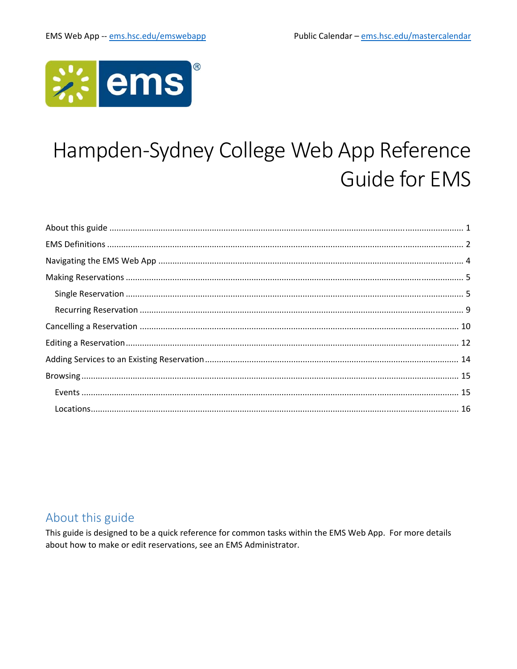

# Hampden-Sydney College Web App Reference **Guide for EMS**

## About this guide

This guide is designed to be a quick reference for common tasks within the EMS Web App. For more details about how to make or edit reservations, see an EMS Administrator.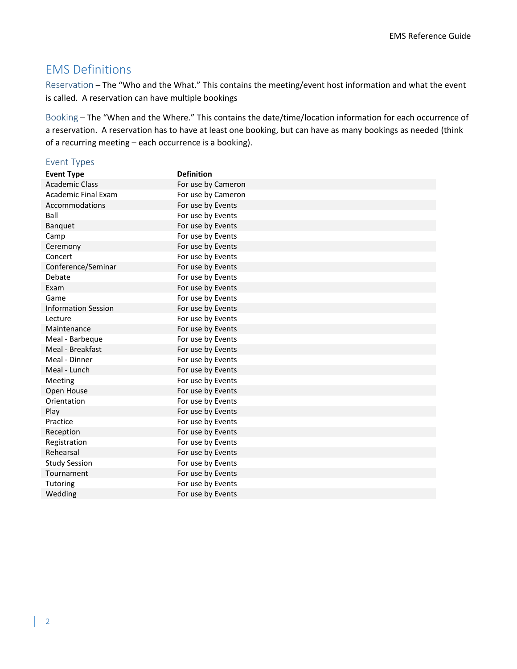## EMS Definitions

Reservation – The "Who and the What." This contains the meeting/event host information and what the event is called. A reservation can have multiple bookings

Booking – The "When and the Where." This contains the date/time/location information for each occurrence of a reservation. A reservation has to have at least one booking, but can have as many bookings as needed (think of a recurring meeting – each occurrence is a booking).

#### Event Types

| <b>Event Type</b>          | <b>Definition</b>  |
|----------------------------|--------------------|
| <b>Academic Class</b>      | For use by Cameron |
| <b>Academic Final Exam</b> | For use by Cameron |
| Accommodations             | For use by Events  |
| Ball                       | For use by Events  |
| Banquet                    | For use by Events  |
| Camp                       | For use by Events  |
| Ceremony                   | For use by Events  |
| Concert                    | For use by Events  |
| Conference/Seminar         | For use by Events  |
| Debate                     | For use by Events  |
| Exam                       | For use by Events  |
| Game                       | For use by Events  |
| <b>Information Session</b> | For use by Events  |
| Lecture                    | For use by Events  |
| Maintenance                | For use by Events  |
| Meal - Barbeque            | For use by Events  |
| Meal - Breakfast           | For use by Events  |
| Meal - Dinner              | For use by Events  |
| Meal - Lunch               | For use by Events  |
| Meeting                    | For use by Events  |
| Open House                 | For use by Events  |
| Orientation                | For use by Events  |
| Play                       | For use by Events  |
| Practice                   | For use by Events  |
| Reception                  | For use by Events  |
| Registration               | For use by Events  |
| Rehearsal                  | For use by Events  |
| <b>Study Session</b>       | For use by Events  |
| Tournament                 | For use by Events  |
| Tutoring                   | For use by Events  |
| Wedding                    | For use by Events  |
|                            |                    |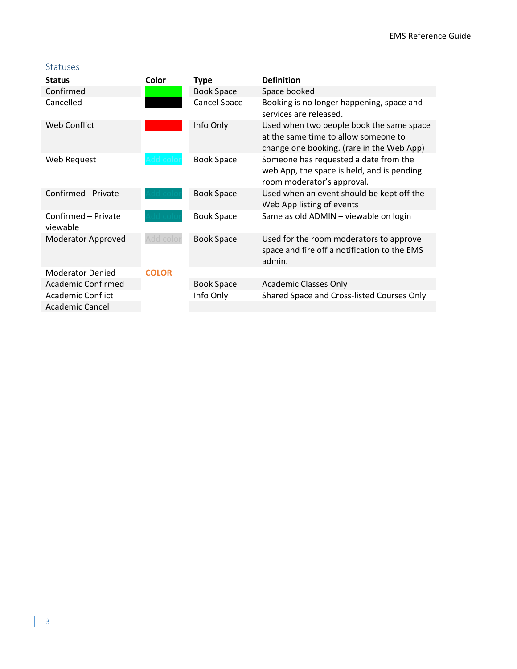#### Statuses

| <b>Status</b>                   | Color        | <b>Type</b>       | <b>Definition</b>                                                                                                             |
|---------------------------------|--------------|-------------------|-------------------------------------------------------------------------------------------------------------------------------|
| Confirmed                       |              | <b>Book Space</b> | Space booked                                                                                                                  |
| Cancelled                       |              | Cancel Space      | Booking is no longer happening, space and<br>services are released.                                                           |
| Web Conflict                    |              | Info Only         | Used when two people book the same space<br>at the same time to allow someone to<br>change one booking. (rare in the Web App) |
| Web Request                     |              | <b>Book Space</b> | Someone has requested a date from the<br>web App, the space is held, and is pending<br>room moderator's approval.             |
| Confirmed - Private             |              | <b>Book Space</b> | Used when an event should be kept off the<br>Web App listing of events                                                        |
| Confirmed - Private<br>viewable |              | <b>Book Space</b> | Same as old ADMIN - viewable on login                                                                                         |
| Moderator Approved              | Add color    | <b>Book Space</b> | Used for the room moderators to approve<br>space and fire off a notification to the EMS<br>admin.                             |
| <b>Moderator Denied</b>         | <b>COLOR</b> |                   |                                                                                                                               |
| Academic Confirmed              |              | <b>Book Space</b> | <b>Academic Classes Only</b>                                                                                                  |
| <b>Academic Conflict</b>        |              | Info Only         | Shared Space and Cross-listed Courses Only                                                                                    |
| <b>Academic Cancel</b>          |              |                   |                                                                                                                               |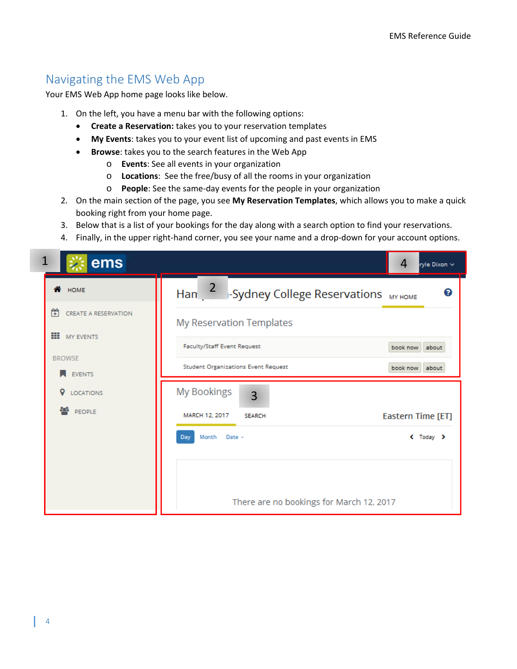## Navigating the EMS Web App

Your EMS Web App home page looks like below.

- 1. On the left, you have a menu bar with the following options:
	- **Create a Reservation:** takes you to your reservation templates
	- **My Events**: takes you to your event list of upcoming and past events in EMS
	- **Browse**: takes you to the search features in the Web App
		- o **Events**: See all events in your organization
		- o **Locations**: See the free/busy of all the rooms in your organization
		- o **People**: See the same‐day events for the people in your organization
- 2. On the main section of the page, you see **My Reservation Templates**, which allows you to make a quick booking right from your home page.
- 3. Below that is a list of your bookings for the day along with a search option to find your reservations.
- 4. Finally, in the upper right‐hand corner, you see your name and a drop‐down for your account options.

| ems                             | 4<br>ryle Dixon ~                                                    |
|---------------------------------|----------------------------------------------------------------------|
| <b>A</b> HOME                   | Han $\frac{2}{1}$<br>ℯ<br><b>Sydney College Reservations</b> MY HOME |
| Ħ<br>CREATE A RESERVATION       | My Reservation Templates                                             |
| ₩<br>MY EVENTS<br><b>BROWSE</b> | Faculty/Staff Event Request<br>book now<br>about                     |
| <b>EVENTS</b>                   | <b>Student Organizations Event Request</b><br>book now<br>about      |
| o<br><b>LOCATIONS</b>           | <b>My Bookings</b><br>3                                              |
| as.<br>PEOPLE                   | Eastern Time [ET]<br>MARCH 12, 2017<br><b>SEARCH</b>                 |
|                                 | Month<br>Date $\sim$<br>$\leftarrow$ Today $\rightarrow$<br>Day      |
|                                 |                                                                      |
|                                 | There are no bookings for March 12, 2017                             |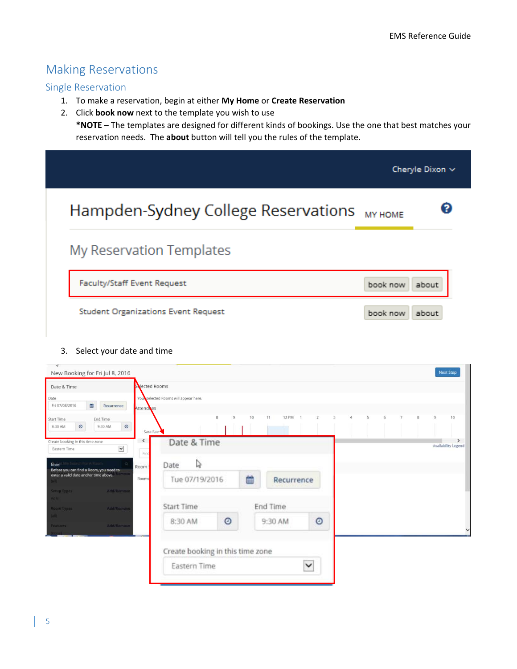## Making Reservations

#### Single Reservation

- 1. To make a reservation, begin at either **My Home** or **Create Reservation**
- 2. Click **book now** next to the template you wish to use **\*NOTE** – The templates are designed for different kinds of bookings. Use the one that best matches your reservation needs. The **about** button will tell you the rules of the template.

|                                            |                | Cheryle Dixon ~ |
|--------------------------------------------|----------------|-----------------|
| Hampden-Sydney College Reservations        | <b>MY HOME</b> | 62              |
| My Reservation Templates                   |                |                 |
| Faculty/Staff Event Request                | book now       | about           |
| <b>Student Organizations Event Request</b> | book now       | about           |

#### 3. Select your date and time

| New Booking for Fri Jul 8, 2016                                              |                |                                      |                   |    |               |             |                |   |  |          | <b>Next Step</b>                     |
|------------------------------------------------------------------------------|----------------|--------------------------------------|-------------------|----|---------------|-------------|----------------|---|--|----------|--------------------------------------|
| Date & Time                                                                  | Solected Rooms |                                      |                   |    |               |             |                |   |  |          |                                      |
| Date:<br>兽<br>Fri 07/08/2016<br>Recurrence                                   | Attendees      | You selected Rooms will appear here. |                   |    |               |             |                |   |  |          |                                      |
| <b>Start Time</b><br>End Time<br>$_{\odot}$<br>$\circ$<br>9:30 AM<br>8:30 AM | Sara Rae       |                                      | 8<br>$\mathbf{Q}$ | 10 | 12 PM 1<br>11 |             | $\overline{a}$ | 5 |  | $\alpha$ | 10                                   |
| Create booking in this time zone<br>$\check{ }$<br>Eastern Time              | ≺<br>Find      | Date & Time                          |                   |    |               |             |                |   |  |          | $\rightarrow$<br>Availability Legend |
| Note: Mit Starch For A Room<br>Before you can find a Room, you need to       | Room!          | Ų<br>Date                            |                   |    |               |             |                |   |  |          |                                      |
| enter a valid date and/or time above.                                        | Rooms          | Tue 07/19/2016                       |                   | 曲  | Recurrence    |             |                |   |  |          |                                      |
| Addiffermove<br>Setup Types<br><b>REAL</b>                                   |                |                                      |                   |    |               |             |                |   |  |          |                                      |
| <b>Add/Romove</b><br>Room Types                                              |                | <b>Start Time</b>                    |                   |    | End Time      |             |                |   |  |          |                                      |
| $\mathbf{L}$<br><b>Add/Remove</b><br>Features:                               |                | 8:30 AM                              | $\circ$           |    | 9:30 AM       | $\circ$     |                |   |  |          |                                      |
|                                                                              |                | Create booking in this time zone     |                   |    |               |             |                |   |  |          |                                      |
|                                                                              |                | Eastern Time                         |                   |    |               | $\check{ }$ |                |   |  |          |                                      |
|                                                                              |                |                                      |                   |    |               |             |                |   |  |          |                                      |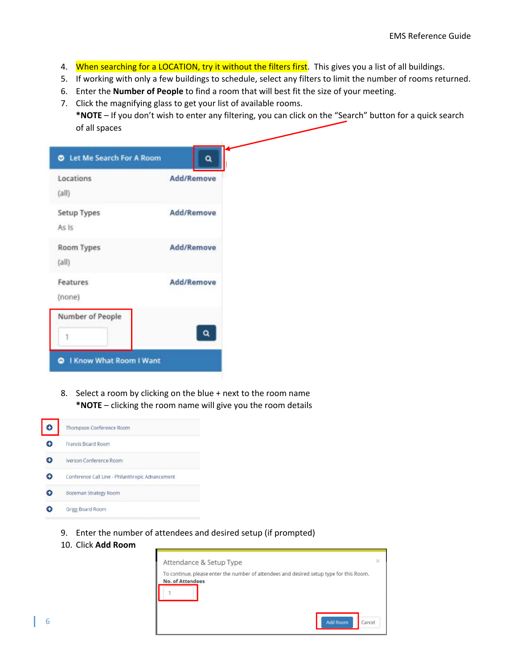- 4. When searching for a LOCATION, try it without the filters first. This gives you a list of all buildings.
- 5. If working with only a few buildings to schedule, select any filters to limit the number of rooms returned.
- 6. Enter the **Number of People** to find a room that will best fit the size of your meeting.
- 7. Click the magnifying glass to get your list of available rooms.

**\*NOTE** – If you don't wish to enter any filtering, you can click on the "Search" button for a quick search of all spaces

| Locations<br>(a  )          | Add/Remove |
|-----------------------------|------------|
| <b>Setup Types</b><br>As Is | Add/Remove |
| Room Types<br>(a  )         | Add/Remove |
| Features<br>(none)          | Add/Remove |
| Number of People<br>1       |            |

8. Select a room by clicking on the blue + next to the room name **\*NOTE** – clicking the room name will give you the room details



- 9. Enter the number of attendees and desired setup (if prompted)
- 10. Click **Add Room**

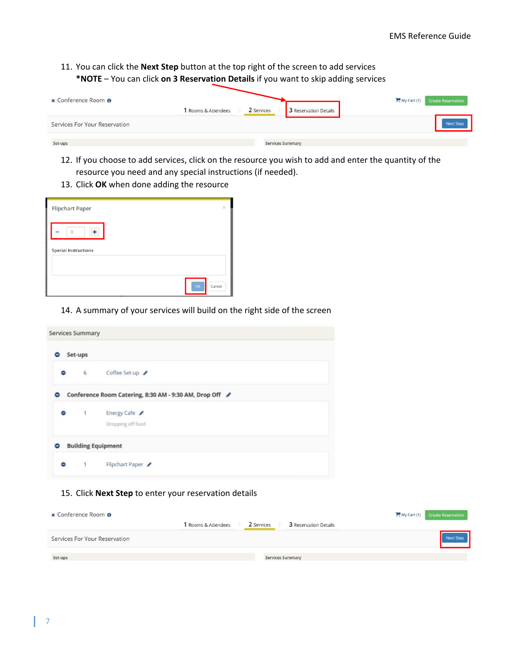11. You can click the **Next Step** button at the top right of the screen to add services **\*NOTE** – You can click **on 3 Reservation Details** if you want to skip adding services

| x Conference Room <sup>O</sup> | 1 Rooms & Attendees | 2 Services              | 3 Reservation Details | My Cart (1) Create Reservation |
|--------------------------------|---------------------|-------------------------|-----------------------|--------------------------------|
| Services For Your Reservation  |                     |                         |                       |                                |
| Set-ups                        |                     | <b>Services Summary</b> |                       |                                |

- 12. If you choose to add services, click on the resource you wish to add and enter the quantity of the resource you need and any special instructions (if needed).
- 13. Click **OK** when done adding the resource

| <b>Flipchart Paper</b>               | × |
|--------------------------------------|---|
| $\Omega$<br>$\overline{\phantom{a}}$ |   |
| <b>Special Instructions</b>          |   |
|                                      |   |
| OK<br>Cancel                         |   |

14. A summary of your services will build on the right side of the screen

| <b>Services Summary</b> |                |                                                         |
|-------------------------|----------------|---------------------------------------------------------|
|                         | Set-ups        |                                                         |
| Θ                       | 6 <sup>1</sup> | Coffee Set-up                                           |
| ⋴                       |                | Conference Room Catering, 8:30 AM - 9:30 AM, Drop Off / |
| Θ                       | $\overline{1}$ | Energy Cafe                                             |
|                         |                | Dropping off food                                       |
|                         |                | <b>Building Equipment</b>                               |
| ⊝                       | $\sim$ 1       | Flipchart Paper                                         |

#### 15. Click **Next Step** to enter your reservation details

| x Conference Room <sup>O</sup> |                     |            |                         | My Cart (1) Create Reservation |
|--------------------------------|---------------------|------------|-------------------------|--------------------------------|
|                                | 1 Rooms & Attendees | 2 Services | 3 Reservation Details   |                                |
| Services For Your Reservation  |                     |            |                         |                                |
| Set-ups                        |                     |            | <b>Services Summary</b> |                                |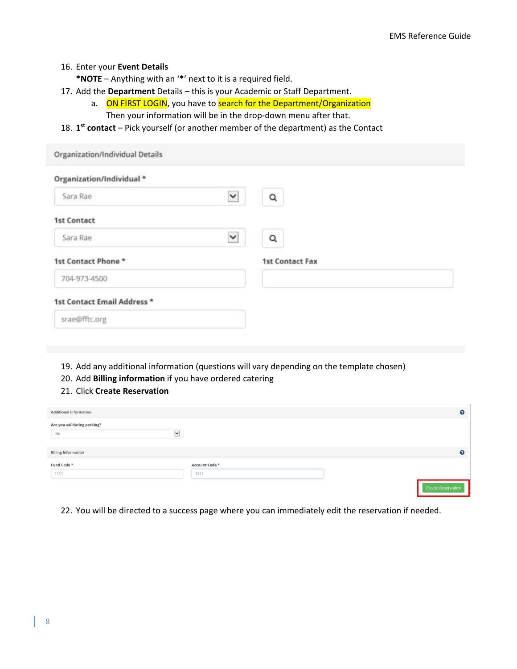#### 16. Enter your **Event Details**

**\*NOTE** – Anything with an '**\***' next to it is a required field.

- 17. Add the **Department** Details this is your Academic or Staff Department.
	- a. ON FIRST LOGIN, you have to search for the Department/Organization

Then your information will be in the drop-down menu after that.

18. **1st contact** – Pick yourself (or another member of the department) as the Contact

| Organization/Individual Details |             |                        |  |
|---------------------------------|-------------|------------------------|--|
| Organization/Individual *       |             |                        |  |
| Sara Rae                        | $\check{ }$ | Q                      |  |
| <b>1st Contact</b>              |             |                        |  |
| Sara Rae                        | $\check{ }$ | $\alpha$               |  |
| 1st Contact Phone *             |             | <b>1st Contact Fax</b> |  |
| 704-973-4500                    |             |                        |  |
| 1st Contact Email Address *     |             |                        |  |
| srae@fftc.org                   |             |                        |  |

- 19. Add any additional information (questions will vary depending on the template chosen)
- 20. Add **Billing information** if you have ordered catering
- 21. Click **Create Reservation**

| Additional Information            |              |                        |                           | $\Omega$ |
|-----------------------------------|--------------|------------------------|---------------------------|----------|
| Are you validating parking?<br>No | $\checkmark$ |                        |                           |          |
| <b>Billing Information</b>        |              |                        |                           | 9        |
| Fund Code *<br>1111               |              | Account Code *<br>1111 |                           |          |
|                                   |              |                        | <b>Create Reservation</b> |          |

22. You will be directed to a success page where you can immediately edit the reservation if needed.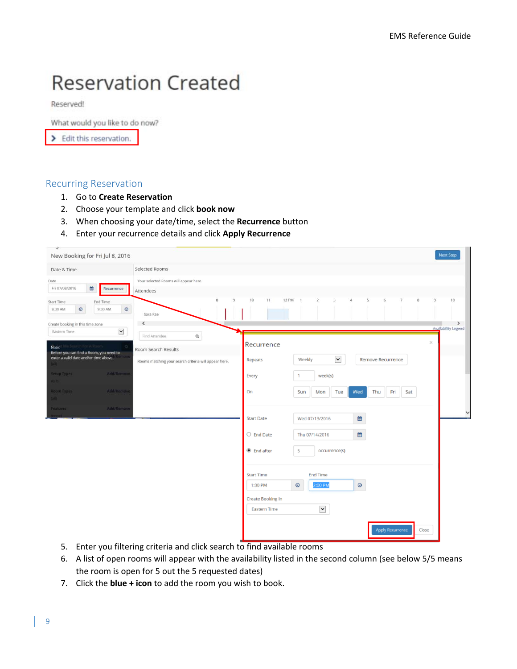## **Reservation Created**

Reserved!

What would you like to do now?

> Edit this reservation.

#### Recurring Reservation

- 1. Go to **Create Reservation**
- 2. Choose your template and click **book now**
- 3. When choosing your date/time, select the **Recurrence** button
- 4. Enter your recurrence details and click **Apply Recurrence**

| New Booking for Fri Jul 8, 2016                                                                                                                                                                                                                                                |                                                                                                    |                                                                                                                                                       |                                                                                                                                     |                                                                                                                                                                              |                    |                                             |               | Next Step                                         |
|--------------------------------------------------------------------------------------------------------------------------------------------------------------------------------------------------------------------------------------------------------------------------------|----------------------------------------------------------------------------------------------------|-------------------------------------------------------------------------------------------------------------------------------------------------------|-------------------------------------------------------------------------------------------------------------------------------------|------------------------------------------------------------------------------------------------------------------------------------------------------------------------------|--------------------|---------------------------------------------|---------------|---------------------------------------------------|
| Date & Time                                                                                                                                                                                                                                                                    |                                                                                                    | Selected Rooms                                                                                                                                        |                                                                                                                                     |                                                                                                                                                                              |                    |                                             |               |                                                   |
| Date:<br>Fri 07/08/2016<br>兽                                                                                                                                                                                                                                                   | Recurrence                                                                                         | Your selected Rooms will appear here.<br>Attendees                                                                                                    |                                                                                                                                     |                                                                                                                                                                              |                    |                                             |               |                                                   |
| Start Time<br>$\odot$<br>8:30 AM<br>Create booking in this time zone<br>Eastern Time<br>rch For A Room<br>Note:<br>Before you can find a Room, you need to<br>enter a valid date and/or time above.<br><b>FALLY</b><br>Setup Types<br>As H<br>Room Types<br>tall)<br>Features: | End Time<br>$_{\odot}$<br>9:30 AM<br>$\check{}$<br>Addiffermove<br><b>Add/Romove</b><br>Add/Remove | $\overline{8}$<br>Sara Rae<br>₹<br>$\mathsf{\alpha}$<br>Find Attendee<br>Room Search Results<br>Rooms matching your search criteria will appear here. | 10<br>$\overline{9}$<br>11<br>Recurrence<br>Repeats<br>Every<br>On<br><b>Start Date</b><br>$\bigcirc$ End Date<br>$\odot$ End after | <b>12 PM</b><br>$\overline{2}$<br>3<br>$\rightarrow$<br>$\check{~}$<br>Weekly<br>week(s)<br>1<br>Tue<br>Sun<br>Mon<br>Wed 07/13/2016<br>Thu 07/14/2016<br>5<br>occurrence(s) | 5<br>Wed<br>₩<br>₩ | 6<br>Remove Recurrence<br>Fri<br>Thu<br>Sat | 9<br>$\times$ | 10<br>$\rightarrow$<br><b>Availability Legend</b> |
|                                                                                                                                                                                                                                                                                |                                                                                                    |                                                                                                                                                       | <b>Start Time</b><br>1:00 PM<br>Create Booking In<br><b>Eastern Time</b>                                                            | <b>End Time</b><br>$_{\odot}$<br>2:00 PM<br>$\check{~}$                                                                                                                      | $_{\odot}$         | <b>Apply Recurrence</b>                     | Close         |                                                   |

- 5. Enter you filtering criteria and click search to find available rooms
- 6. A list of open rooms will appear with the availability listed in the second column (see below 5/5 means the room is open for 5 out the 5 requested dates)
- 7. Click the **blue + icon** to add the room you wish to book.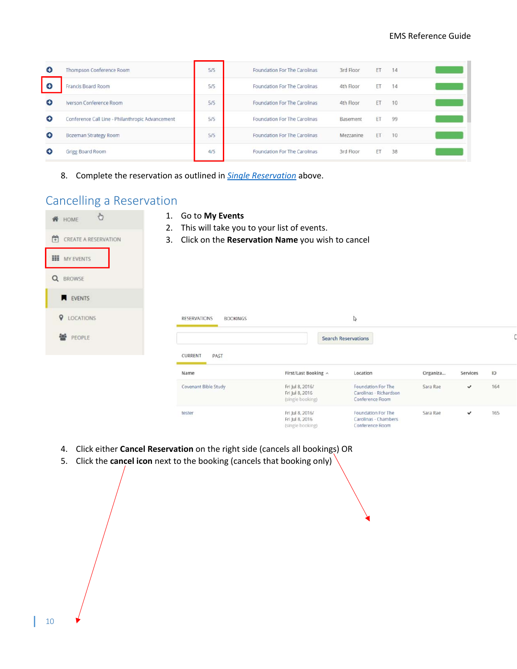C

Services

 $\checkmark$ 

✓

 $\mathsf{ID}$ 

164

165

| Θ         | Thompson Conference Room                         | 5/5 | Foundation For The Carolinas        | 3rd Floor                         | ET        | 14 |  |
|-----------|--------------------------------------------------|-----|-------------------------------------|-----------------------------------|-----------|----|--|
| Ð         | Francis Board Room                               | 5/5 | Foundation For The Carolinas        | 4th Floor<br>그는 아이들은 아이들이 아무리 없다. | ET        | 14 |  |
| Θ         | Iverson Conference Room                          | 5/5 | <b>Foundation For The Carolinas</b> | 4th Floor                         | ET        | 10 |  |
| $\bullet$ | Conference Call Line - Philanthropic Advancement | 5/5 | Foundation For The Carolinas        | Basement                          | <b>FT</b> | 99 |  |
| Θ         | Bozeman Strategy Room                            | 5/5 | Foundation For The Carolinas        | Mezzanine                         | ET        | 10 |  |
| Θ         | Grigg Board Room                                 | 4/5 | Foundation For The Carolinas        | 3rd Floor                         | ET        | 38 |  |

8. Complete the reservation as outlined in *Single Reservation* above.

## Cancelling a Reservation

1. Go to **My Events**  $\ddot{\circ}$ ₩ HOME 2. This will take you to your list of events. CREATE A RESERVATION 3. Click on the **Reservation Name** you wish to cancel **III** MY EVENTS Q BROWSE **N** EVENTS **Q** LOCATIONS **RESERVATIONS BOOKINGS**  $\hbox{\vphantom{a}}\hbox{\vphantom{a}}\hbox{\vphantom{a}}$ 替 PEOPLE **Search Reservations CURRENT** PAST First/Last Booking ^ Location Organiza... Name Fri Jul 8, 2016/ Foundation For The Covenant Bible Study Sara Rae Fri Jul 8, 2016 Carolinas - Richardson (single booking) Conference Room Fri Jul 8, 2016/ Foundation For The tester Sara Rae

Fri Jul 8, 2016

(single booking)

Carolinas - Chambers

Conference Room

- 4. Click either **Cancel Reservation** on the right side (cancels all bookings) OR
- 5. Click the **cancel icon** next to the booking (cancels that booking only)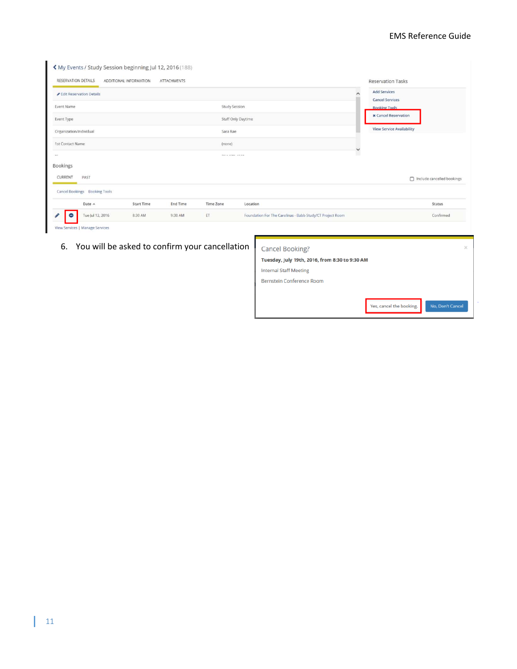#### EMS Reference Guide

 $\epsilon$ 

| RESERVATION DETAILS           | ADDITIONAL INFORMATION | <b>ATTACHMENTS</b> |                  |                                                           |          | <b>Reservation Tasks</b>                       |
|-------------------------------|------------------------|--------------------|------------------|-----------------------------------------------------------|----------|------------------------------------------------|
| Edit Reservation Details      |                        |                    |                  |                                                           | $\hat{}$ | <b>Add Services</b>                            |
| Event Name                    |                        |                    | Study Session    |                                                           |          | <b>Cancel Services</b><br><b>Booking Tools</b> |
| Event Type                    |                        |                    |                  | Staff Only Daytime                                        |          | <b>x</b> Cancel Reservation                    |
| Organization/Individual       |                        |                    | Sara Rae         |                                                           |          | <b>View Service Availability</b>               |
| 1st Contact Name              |                        |                    | (none)           |                                                           | v        |                                                |
|                               |                        |                    | He a new read    |                                                           |          |                                                |
| <b>Bookings</b>               |                        |                    |                  |                                                           |          |                                                |
| CURRENT<br>PAST               |                        |                    |                  |                                                           |          | nclude cancelled bookings                      |
| Cancel Bookings Booking Tools |                        |                    |                  |                                                           |          |                                                |
| Date A                        | <b>Start Time</b>      | <b>End Time</b>    | <b>Time Zone</b> | Location                                                  |          | Status                                         |
| Tue Jul 12, 2016<br>0         | 8:30 AM                | 9:30 AM            | ET               | Foundation For The Carolinas - Babb Study/CT Project Room |          | Confirmed                                      |

6. You will be asked to confirm your cancellation

| Cancel Booking?                                | $\times$         |
|------------------------------------------------|------------------|
| Tuesday, July 19th, 2016, from 8:30 to 9:30 AM |                  |
| <b>Internal Staff Meeting</b>                  |                  |
| Bernstein Conference Room                      |                  |
|                                                |                  |
| Yes, cancel the booking.                       | No, Don't Cancel |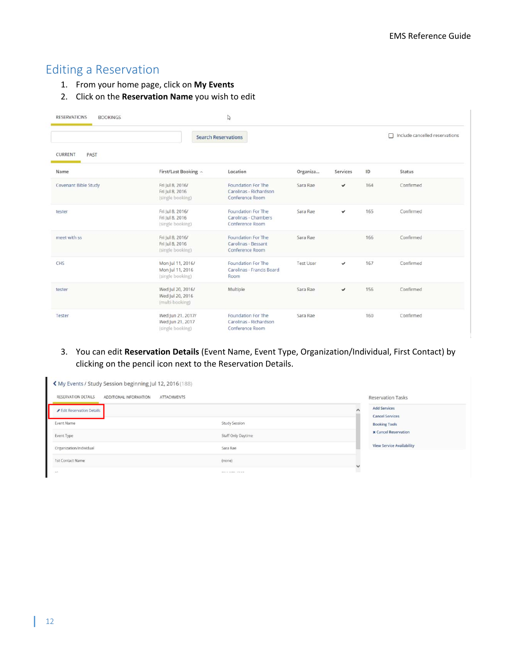## Editing a Reservation

- 1. From your home page, click on **My Events**
- 2. Click on the **Reservation Name** you wish to edit

| <b>RESERVATIONS</b><br><b>BOOKINGS</b> |                                                           | ↳                                                               |                  |              |     |                                       |
|----------------------------------------|-----------------------------------------------------------|-----------------------------------------------------------------|------------------|--------------|-----|---------------------------------------|
|                                        |                                                           | <b>Search Reservations</b>                                      |                  |              |     | $\Box$ Include cancelled reservations |
| <b>CURRENT</b><br>PAST                 |                                                           |                                                                 |                  |              |     |                                       |
| Name                                   | First/Last Booking ^                                      | Location                                                        | Organiza         | Services     | ID  | Status                                |
| Covenant Bible Study                   | Fri Jul 8, 2016/<br>Fri Jul 8, 2016<br>(single booking)   | Foundation For The<br>Carolinas - Richardson<br>Conference Room | Sara Rae         | $\checkmark$ | 164 | Confirmed                             |
| tester                                 | Fri Jul 8, 2016/<br>Fri Jul 8, 2016<br>(single booking)   | Foundation For The<br>Carolinas - Chambers<br>Conference Room   | Sara Rae         | $\checkmark$ | 165 | Confirmed                             |
| meet with ss                           | Fri Jul 8, 2016/<br>Fri Jul 8, 2016<br>(single booking)   | Foundation For The<br>Carolinas - Bessant<br>Conference Room    | Sara Rae         |              | 166 | Confirmed                             |
| CHS                                    | Mon Jul 11, 2016/<br>Mon Jul 11, 2016<br>(single booking) | Foundation For The<br>Carolinas - Francis Board<br>Room         | <b>Test User</b> | $\checkmark$ | 167 | Confirmed                             |
| tester                                 | Wed Jul 20, 2016/<br>Wed Jul 20, 2016<br>(multi-booking)  | Multiple                                                        | Sara Rae         | $\checkmark$ | 156 | Confirmed                             |
| Tester                                 | Wed Jun 21, 2017/<br>Wed Jun 21, 2017<br>(single booking) | Foundation For The<br>Carolinas - Richardson<br>Conference Room | Sara Rae         |              | 160 | Confirmed                             |

3. You can edit **Reservation Details** (Event Name, Event Type, Organization/Individual, First Contact) by clicking on the pencil icon next to the Reservation Details.

| K My Events / Study Session beginning Jul 12, 2016 (188)     |                        |                                               |
|--------------------------------------------------------------|------------------------|-----------------------------------------------|
| RESERVATION DETAILS<br>ADDITIONAL INFORMATION<br>ATTACHMENTS |                        | <b>Reservation Tasks</b>                      |
| Edit Reservation Details                                     |                        | <b>Add Services</b><br><b>Cancel Services</b> |
| Event Name                                                   | <b>Study Session</b>   | <b>Booking Tools</b>                          |
| Event Type                                                   | Staff Only Daytime     | <b>x</b> Cancel Reservation                   |
| Organization/Individual                                      | Sara Rae               | <b>View Service Availability</b>              |
| 1st Contact Name                                             | (none)<br>$\checkmark$ |                                               |
| $-1$                                                         | <b>MAIL AMM IMMA</b>   |                                               |

n.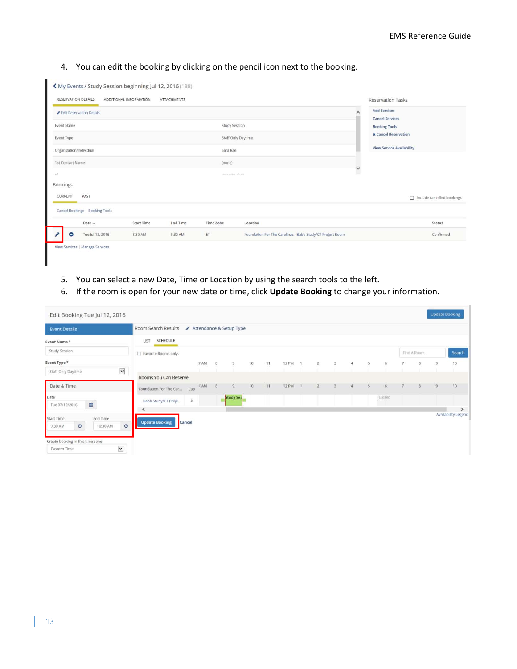#### 4. You can edit the booking by clicking on the pencil icon next to the booking.

| RESERVATION DETAILS     |                               | ADDITIONAL INFORMATION | <b>ATTACHMENTS</b>          |                      |                                                           |    | <b>Reservation Tasks</b>                      |
|-------------------------|-------------------------------|------------------------|-----------------------------|----------------------|-----------------------------------------------------------|----|-----------------------------------------------|
|                         | Edit Reservation Details      |                        |                             |                      |                                                           |    | <b>Add Services</b><br><b>Cancel Services</b> |
| Event Name              |                               |                        |                             | <b>Study Session</b> |                                                           |    | <b>Booking Tools</b>                          |
| Event Type              |                               |                        | <b>x</b> Cancel Reservation |                      |                                                           |    |                                               |
| Organization/Individual |                               |                        |                             | Sara Rae             |                                                           |    | <b>View Service Availability</b>              |
| 1st Contact Name        |                               |                        |                             | (none)               |                                                           | v  |                                               |
| $m +$                   |                               |                        |                             | <b>MAIN AMERICAN</b> |                                                           | ı. |                                               |
| <b>Bookings</b>         |                               |                        |                             |                      |                                                           |    |                                               |
| CURRENT                 | PAST                          |                        |                             |                      |                                                           |    | nclude cancelled bookings                     |
|                         | Cancel Bookings Booking Tools |                        |                             |                      |                                                           |    |                                               |
|                         | Date A                        | <b>Start Time</b>      | <b>End Time</b>             | Time Zone            | Location                                                  |    | Status                                        |
| ⊝                       | Tue Jul 12, 2016              | 8:30 AM                | 9:30 AM                     | ET                   | Foundation For The Carolinas - Babb Study/CT Project Room |    | Confirmed                                     |

- 5. You can select a new Date, Time or Location by using the search tools to the left.
- 6. If the room is open for your new date or time, click **Update Booking** to change your information.

| <b>Event Details</b>                                                       | Room Search Results                                 |        |      |   | Attendance & Setup Type |    |    |         |              |   |   |        |             |                |                     |
|----------------------------------------------------------------------------|-----------------------------------------------------|--------|------|---|-------------------------|----|----|---------|--------------|---|---|--------|-------------|----------------|---------------------|
|                                                                            |                                                     |        |      |   |                         |    |    |         |              |   |   |        |             |                |                     |
| Event Name*                                                                | SCHEDULE<br>LIST                                    |        |      |   |                         |    |    |         |              |   |   |        |             |                |                     |
| <b>Study Session</b>                                                       | Favorite Rooms only.                                |        |      |   |                         |    |    |         |              |   |   |        | Find A Room |                | Search              |
| Event Type *                                                               |                                                     |        | 7 AM | 8 | 9                       | 10 | 11 | 12 PM 1 | $\mathbf{z}$ | 3 | 5 | 6      | 8           | $\overline{9}$ | 10                  |
| $\check{ }$<br>Staff Only Daytime<br>Date & Time                           | Rooms You Can Reserve<br>Foundation For The Car Cap |        | 7 AM | 8 | 9                       | 10 | 11 | 12 PM   |              |   |   |        |             | $\mathbf{Q}$   | 10                  |
| Date<br>e<br>Tue 07/12/2016                                                | Babb Study/CT Proje                                 | 5      |      |   | <b>Study Ses</b>        |    |    |         |              |   |   | Closed |             |                |                     |
| End Time<br><b>Start Time</b><br>$\circ$<br>$\circ$<br>10:30 AM<br>9:30 AM | <b>Update Booking</b>                               | Cancel |      |   |                         |    |    |         |              |   |   |        |             |                | Availability Legend |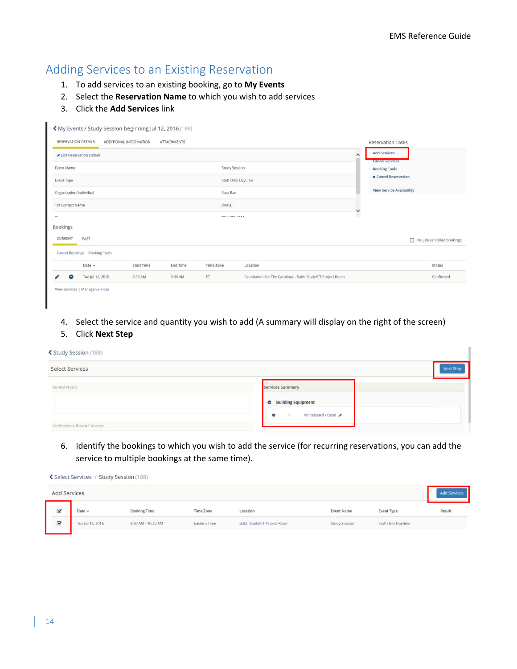I

## Adding Services to an Existing Reservation

- 1. To add services to an existing booking, go to **My Events**
- 2. Select the **Reservation Name** to which you wish to add services
- 3. Click the **Add Services** link

| $\blacksquare$          | Tue Jul 12, 2016              | 8:30 AM                | 9:30 AM            | ET                            | Foundation For The Carolinas - Babb Study/CT Project Room |             | Confirmed                                     |
|-------------------------|-------------------------------|------------------------|--------------------|-------------------------------|-----------------------------------------------------------|-------------|-----------------------------------------------|
|                         | Date A                        | <b>Start Time</b>      | <b>End Time</b>    | <b>Time Zone</b>              | Location                                                  |             | Status                                        |
|                         | Cancel Bookings Booking Tools |                        |                    |                               |                                                           |             |                                               |
| CURRENT                 | PAST                          |                        |                    |                               |                                                           |             | nclude cancelled bookings                     |
| <b>Bookings</b>         |                               |                        |                    |                               |                                                           |             |                                               |
| $m +$                   |                               |                        |                    | <b>MAY &amp; MIRRY ATMOSF</b> |                                                           |             |                                               |
| 1st Contact Name        |                               |                        |                    | (none)                        |                                                           | $\check{ }$ |                                               |
| Organization/Individual |                               |                        |                    | Sara Rae                      |                                                           |             | <b>View Service Availability</b>              |
| Event Type              |                               |                        |                    |                               | Staff Only Daytime                                        |             | <b>x</b> Cancel Reservation                   |
| Event Name              |                               |                        |                    | <b>Study Session</b>          |                                                           |             | <b>Booking Tools</b>                          |
|                         | Edit Reservation Details      |                        |                    |                               |                                                           | $\lambda$   | <b>Add Services</b><br><b>Cancel Services</b> |
| RESERVATION DETAILS     |                               | ADDITIONAL INFORMATION | <b>ATTACHMENTS</b> |                               |                                                           |             | <b>Reservation Tasks</b>                      |

4. Select the service and quantity you wish to add (A summary will display on the right of the screen)

#### 5. Click **Next Step**

|  |  | ≰ Study Session (188) |  |
|--|--|-----------------------|--|
|--|--|-----------------------|--|

| Select Services          |                                  |  |
|--------------------------|----------------------------------|--|
| Rental Notes             | Services Summary                 |  |
|                          | <b>Building Equipment</b><br>Θ.  |  |
| Conference Room Catering | Whiteboard / Easel<br>$\epsilon$ |  |

6. Identify the bookings to which you wish to add the service (for recurring reservations, you can add the service to multiple bookings at the same time).

|  |  | Select Services / Study Session (188) |  |  |  |  |
|--|--|---------------------------------------|--|--|--|--|
|--|--|---------------------------------------|--|--|--|--|

| Add Services            |                  |                     |              |                            |                   |                    |        |
|-------------------------|------------------|---------------------|--------------|----------------------------|-------------------|--------------------|--------|
| $\mathbf{\overline{S}}$ | Date $\land$     | <b>Booking Time</b> | Time Zone    | Location                   | <b>Event Name</b> | Event Type         | Result |
| $\overline{\mathbf{S}}$ | Tue Jul 12, 2016 | 9:30 AM - 10:30 AM  | Eastern Time | Babb Study/CT Project Room | Study Session     | Staff Only Daytime |        |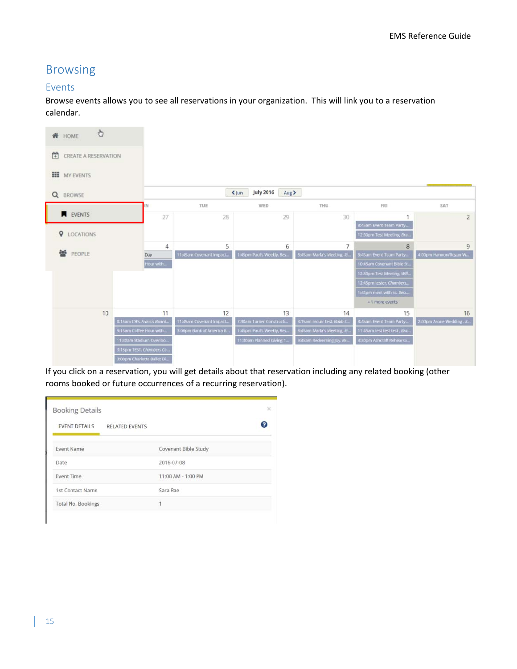## Browsing

#### Events

Browse events allows you to see all reservations in your organization. This will link you to a reservation calendar.



If you click on a reservation, you will get details about that reservation including any related booking (other rooms booked or future occurrences of a recurring reservation).

| <b>EVENT DETAILS</b> | <b>RELATED EVENTS</b> |                      |  |
|----------------------|-----------------------|----------------------|--|
| <b>Event Name</b>    |                       | Covenant Bible Study |  |
| Date                 |                       | 2016-07-08           |  |
| <b>Event Time</b>    |                       | 11:00 AM - 1:00 PM   |  |
| 1st Contact Name     |                       | Sara Rae             |  |
| Total No. Bookings   |                       |                      |  |